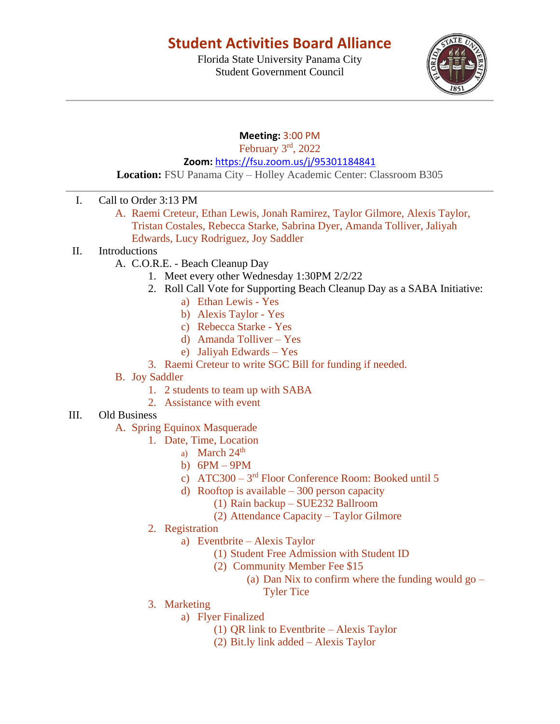# **Student Activities Board Alliance**

Florida State University Panama City Student Government Council



### **Meeting:** 3:00 PM

February 3rd, 2022

**Zoom:** <https://fsu.zoom.us/j/95301184841>

**Location:** FSU Panama City – Holley Academic Center: Classroom B305

- I. Call to Order 3:13 PM
	- A. Raemi Creteur, Ethan Lewis, Jonah Ramirez, Taylor Gilmore, Alexis Taylor, Tristan Costales, Rebecca Starke, Sabrina Dyer, Amanda Tolliver, Jaliyah Edwards, Lucy Rodriguez, Joy Saddler
- II. Introductions
	- A. C.O.R.E. Beach Cleanup Day
		- 1. Meet every other Wednesday 1:30PM 2/2/22
		- 2. Roll Call Vote for Supporting Beach Cleanup Day as a SABA Initiative:
			- a) Ethan Lewis Yes
			- b) Alexis Taylor Yes
			- c) Rebecca Starke Yes
			- d) Amanda Tolliver Yes
			- e) Jaliyah Edwards Yes
		- 3. Raemi Creteur to write SGC Bill for funding if needed.
	- B. Joy Saddler
		- 1. 2 students to team up with SABA
		- 2. Assistance with event

#### III. Old Business

- A. Spring Equinox Masquerade
	- 1. Date, Time, Location
		- a) March  $24<sup>th</sup>$
		- b) 6PM 9PM
		- c) ATC300 3<sup>rd</sup> Floor Conference Room: Booked until 5
		- d) Rooftop is available  $-300$  person capacity
			- (1) Rain backup SUE232 Ballroom
			- (2) Attendance Capacity Taylor Gilmore
	- 2. Registration
		- a) Eventbrite Alexis Taylor
			- (1) Student Free Admission with Student ID
			- (2) Community Member Fee \$15
				- (a) Dan Nix to confirm where the funding would  $g_0$  –

Tyler Tice

- 3. Marketing
	- a) Flyer Finalized
		- (1) QR link to Eventbrite Alexis Taylor
		- (2) Bit.ly link added Alexis Taylor